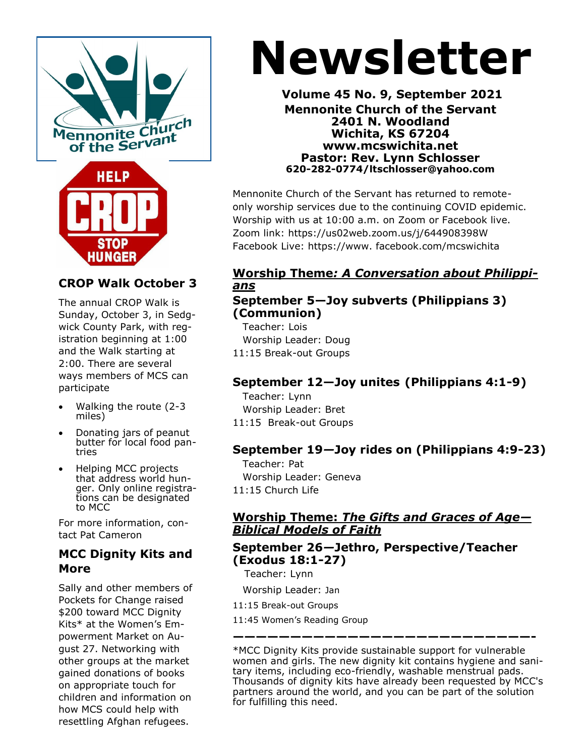

# **CROP Walk October 3**

The annual CROP Walk is Sunday, October 3, in Sedgwick County Park, with registration beginning at 1:00 and the Walk starting at 2:00. There are several ways members of MCS can participate

- Walking the route (2-3 miles)
- Donating jars of peanut butter for local food pantries
- Helping MCC projects that address world hunger. Only online registrations can be designated to MCC

For more information, contact Pat Cameron

#### **MCC Dignity Kits and More**

Sally and other members of Pockets for Change raised \$200 toward MCC Dignity Kits\* at the Women's Empowerment Market on August 27. Networking with other groups at the market gained donations of books on appropriate touch for children and information on how MCS could help with resettling Afghan refugees.

# **Newsletter**

**Volume 45 No. 9, September 2021 Mennonite Church of the Servant 2401 N. Woodland Wichita, KS 67204 www.mcswichita.net Pastor: Rev. Lynn Schlosser 620-282-0774/ltschlosser@yahoo.com**

Mennonite Church of the Servant has returned to remoteonly worship services due to the continuing COVID epidemic. Worship with us at 10:00 a.m. on Zoom or Facebook live. Zoom link: https://us02web.zoom.us/j/644908398W Facebook Live: https://www. facebook.com/mcswichita

# **Worship Theme***: A Conversation about Philippians*

## **September 5—Joy subverts (Philippians 3) (Communion)**

 Teacher: Lois Worship Leader: Doug 11:15 Break-out Groups

# **September 12—Joy unites (Philippians 4:1-9)**

 Teacher: Lynn Worship Leader: Bret 11:15 Break-out Groups

# **September 19***—***Joy rides on (Philippians 4:9-23)**

 Teacher: Pat Worship Leader: Geneva 11:15 Church Life

## **Worship Theme:** *The Gifts and Graces of Age— Biblical Models of Faith*

# **September 26***—***Jethro, Perspective/Teacher (Exodus 18:1-27)**

Teacher: Lynn

Worship Leader: Jan

11:15 Break-out Groups

11:45 Women's Reading Group

\*MCC Dignity Kits provide sustainable support for vulnerable women and girls. The new dignity kit contains hygiene and sanitary items, including eco-friendly, washable menstrual pads. Thousands of dignity kits have already been requested by MCC's partners around the world, and you can be part of the solution for fulfilling this need.

**——————————————————————————-**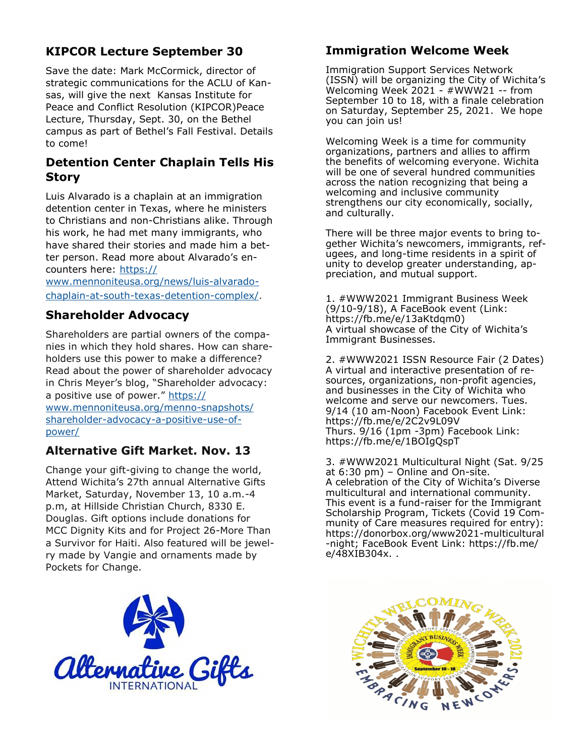# **KIPCOR Lecture September 30**

Save the date: Mark McCormick, director of strategic communications for the ACLU of Kansas, will give the next Kansas Institute for Peace and Conflict Resolution (KIPCOR)Peace Lecture, Thursday, Sept. 30, on the Bethel campus as part of Bethel's Fall Festival. Details to come!

# **Detention Center Chaplain Tells His Story**

Luis Alvarado is a chaplain at an immigration detention center in Texas, where he ministers to Christians and non-Christians alike. Through his work, he had met many immigrants, who have shared their stories and made him a better person. Read more about Alvarado's encounters here: [https://](https://mennoniteusa.us1.list-manage.com/track/click?u=97f16d9c230780d6354d01572&id=57dc2afe0b&e=fd837cb6fb)

[www.mennoniteusa.org/news/luis](https://mennoniteusa.us1.list-manage.com/track/click?u=97f16d9c230780d6354d01572&id=57dc2afe0b&e=fd837cb6fb)-alvaradochaplain-at-south-texas-[detention](https://mennoniteusa.us1.list-manage.com/track/click?u=97f16d9c230780d6354d01572&id=57dc2afe0b&e=fd837cb6fb)-complex/.

## **Shareholder Advocacy**

Shareholders are partial owners of the companies in which they hold shares. How can shareholders use this power to make a difference? Read about the power of shareholder advocacy in Chris Meyer's blog, "Shareholder advocacy: a positive use of power." [https://](https://www.mennoniteusa.org/menno-snapshots/shareholder-advocacy-a-positive-use-of-power/) [www.mennoniteusa.org/menno](https://www.mennoniteusa.org/menno-snapshots/shareholder-advocacy-a-positive-use-of-power/)-snapshots/ [shareholder](https://www.mennoniteusa.org/menno-snapshots/shareholder-advocacy-a-positive-use-of-power/)-advocacy-a-positive-use-of[power/](https://www.mennoniteusa.org/menno-snapshots/shareholder-advocacy-a-positive-use-of-power/)

# **Alternative Gift Market. Nov. 13**

Change your gift-giving to change the world, Attend Wichita's 27th annual Alternative Gifts Market, Saturday, November 13, 10 a.m.-4 p.m, at Hillside Christian Church, 8330 E. Douglas. Gift options include donations for MCC Dignity Kits and for Project 26-More Than a Survivor for Haiti. Also featured will be jewelry made by Vangie and ornaments made by Pockets for Change.

# **Immigration Welcome Week**

Immigration Support Services Network (ISSN) will be organizing the City of Wichita's Welcoming Week 2021 - #WWW21 -- from September 10 to 18, with a finale celebration on Saturday, September 25, 2021. We hope you can join us!

Welcoming Week is a time for community organizations, partners and allies to affirm the benefits of welcoming everyone. Wichita will be one of several hundred communities across the nation recognizing that being a welcoming and inclusive community strengthens our city economically, socially, and culturally.

There will be three major events to bring together Wichita's newcomers, immigrants, refugees, and long-time residents in a spirit of unity to develop greater understanding, appreciation, and mutual support.

1. #WWW2021 Immigrant Business Week (9/10-9/18), A FaceBook event (Link: https://fb.me/e/13aKtdqm0) A virtual showcase of the City of Wichita's Immigrant Businesses.

2. #WWW2021 ISSN Resource Fair (2 Dates) A virtual and interactive presentation of resources, organizations, non-profit agencies, and businesses in the City of Wichita who welcome and serve our newcomers. Tues. 9/14 (10 am-Noon) Facebook Event Link: https://fb.me/e/2C2v9L09V Thurs. 9/16 (1pm -3pm) Facebook Link: https://fb.me/e/1BOIgQspT

3. #WWW2021 Multicultural Night (Sat. 9/25 at 6:30 pm) – Online and On-site. A celebration of the City of Wichita's Diverse multicultural and international community. This event is a fund-raiser for the Immigrant Scholarship Program, Tickets (Covid 19 Community of Care measures required for entry): https://donorbox.org/www2021-multicultural -night; FaceBook Event Link: https://fb.me/ e/48XIB304x. .



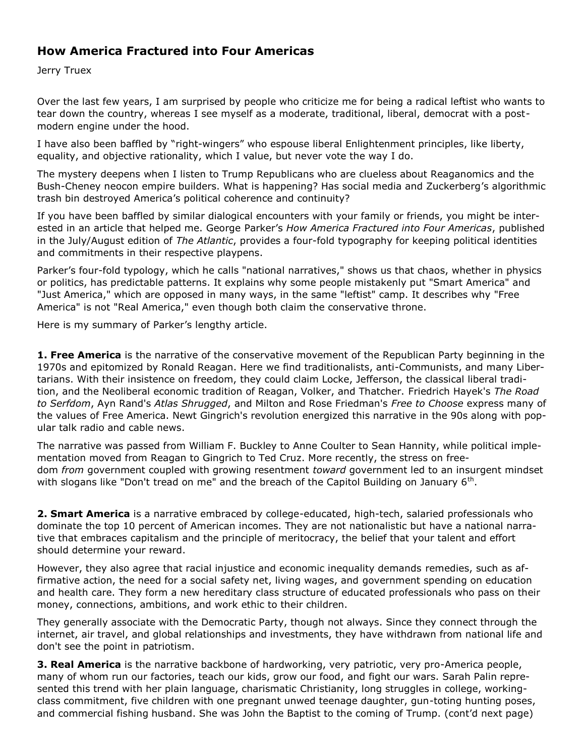# **How America Fractured into Four Americas**

Jerry Truex

Over the last few years, I am surprised by people who criticize me for being a radical leftist who wants to tear down the country, whereas I see myself as a moderate, traditional, liberal, democrat with a postmodern engine under the hood.

I have also been baffled by "right-wingers" who espouse liberal Enlightenment principles, like liberty, equality, and objective rationality, which I value, but never vote the way I do.

The mystery deepens when I listen to Trump Republicans who are clueless about Reaganomics and the Bush-Cheney neocon empire builders. What is happening? Has social media and Zuckerberg's algorithmic trash bin destroyed America's political coherence and continuity?

If you have been baffled by similar dialogical encounters with your family or friends, you might be interested in an article that helped me. George Parker's *How America Fractured into Four Americas*, published in the July/August edition of *The Atlantic*, provides a four-fold typography for keeping political identities and commitments in their respective playpens.

Parker's four-fold typology, which he calls "national narratives," shows us that chaos, whether in physics or politics, has predictable patterns. It explains why some people mistakenly put "Smart America" and "Just America," which are opposed in many ways, in the same "leftist" camp. It describes why "Free America" is not "Real America," even though both claim the conservative throne.

Here is my summary of Parker's lengthy article.

**1. Free America** is the narrative of the conservative movement of the Republican Party beginning in the 1970s and epitomized by Ronald Reagan. Here we find traditionalists, anti-Communists, and many Libertarians. With their insistence on freedom, they could claim Locke, Jefferson, the classical liberal tradition, and the Neoliberal economic tradition of Reagan, Volker, and Thatcher. Friedrich Hayek's *The Road to Serfdom*, Ayn Rand's *Atlas Shrugged*, and Milton and Rose Friedman's *Free to Choose* express many of the values of Free America. Newt Gingrich's revolution energized this narrative in the 90s along with popular talk radio and cable news.

The narrative was passed from William F. Buckley to Anne Coulter to Sean Hannity, while political implementation moved from Reagan to Gingrich to Ted Cruz. More recently, the stress on freedom *from* government coupled with growing resentment *toward* government led to an insurgent mindset with slogans like "Don't tread on me" and the breach of the Capitol Building on January  $6<sup>th</sup>$ .

**2. Smart America** is a narrative embraced by college-educated, high-tech, salaried professionals who dominate the top 10 percent of American incomes. They are not nationalistic but have a national narrative that embraces capitalism and the principle of meritocracy, the belief that your talent and effort should determine your reward.

However, they also agree that racial injustice and economic inequality demands remedies, such as affirmative action, the need for a social safety net, living wages, and government spending on education and health care. They form a new hereditary class structure of educated professionals who pass on their money, connections, ambitions, and work ethic to their children.

They generally associate with the Democratic Party, though not always. Since they connect through the internet, air travel, and global relationships and investments, they have withdrawn from national life and don't see the point in patriotism.

**3. Real America** is the narrative backbone of hardworking, very patriotic, very pro-America people, many of whom run our factories, teach our kids, grow our food, and fight our wars. Sarah Palin represented this trend with her plain language, charismatic Christianity, long struggles in college, workingclass commitment, five children with one pregnant unwed teenage daughter, gun-toting hunting poses, and commercial fishing husband. She was John the Baptist to the coming of Trump. (cont'd next page)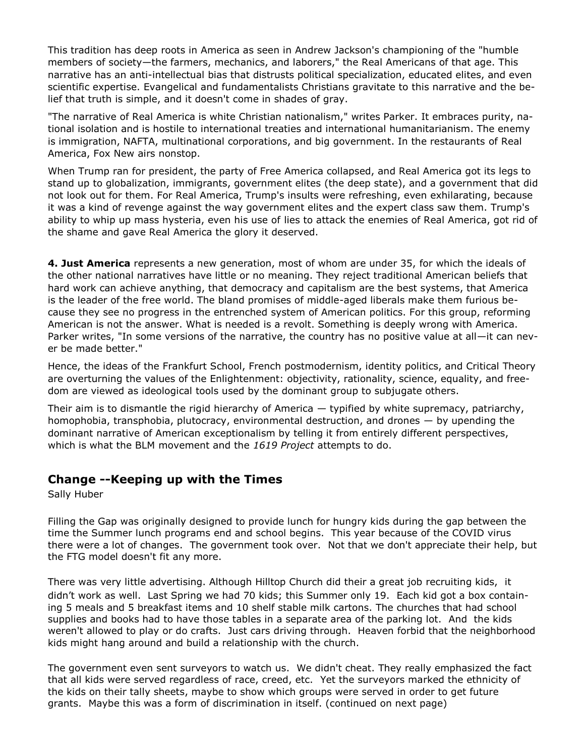This tradition has deep roots in America as seen in Andrew Jackson's championing of the "humble members of society—the farmers, mechanics, and laborers," the Real Americans of that age. This narrative has an anti-intellectual bias that distrusts political specialization, educated elites, and even scientific expertise. Evangelical and fundamentalists Christians gravitate to this narrative and the belief that truth is simple, and it doesn't come in shades of gray.

"The narrative of Real America is white Christian nationalism," writes Parker. It embraces purity, national isolation and is hostile to international treaties and international humanitarianism. The enemy is immigration, NAFTA, multinational corporations, and big government. In the restaurants of Real America, Fox New airs nonstop.

When Trump ran for president, the party of Free America collapsed, and Real America got its legs to stand up to globalization, immigrants, government elites (the deep state), and a government that did not look out for them. For Real America, Trump's insults were refreshing, even exhilarating, because it was a kind of revenge against the way government elites and the expert class saw them. Trump's ability to whip up mass hysteria, even his use of lies to attack the enemies of Real America, got rid of the shame and gave Real America the glory it deserved.

**4. Just America** represents a new generation, most of whom are under 35, for which the ideals of the other national narratives have little or no meaning. They reject traditional American beliefs that hard work can achieve anything, that democracy and capitalism are the best systems, that America is the leader of the free world. The bland promises of middle-aged liberals make them furious because they see no progress in the entrenched system of American politics. For this group, reforming American is not the answer. What is needed is a revolt. Something is deeply wrong with America. Parker writes, "In some versions of the narrative, the country has no positive value at all—it can never be made better."

Hence, the ideas of the Frankfurt School, French postmodernism, identity politics, and Critical Theory are overturning the values of the Enlightenment: objectivity, rationality, science, equality, and freedom are viewed as ideological tools used by the dominant group to subjugate others.

Their aim is to dismantle the rigid hierarchy of America — typified by white supremacy, patriarchy, homophobia, transphobia, plutocracy, environmental destruction, and drones — by upending the dominant narrative of American exceptionalism by telling it from entirely different perspectives, which is what the BLM movement and the *1619 Project* attempts to do.

# **Change --Keeping up with the Times**

Sally Huber

Filling the Gap was originally designed to provide lunch for hungry kids during the gap between the time the Summer lunch programs end and school begins. This year because of the COVID virus there were a lot of changes. The government took over. Not that we don't appreciate their help, but the FTG model doesn't fit any more.

There was very little advertising. Although Hilltop Church did their a great job recruiting kids, it didn't work as well. Last Spring we had 70 kids; this Summer only 19. Each kid got a box containing 5 meals and 5 breakfast items and 10 shelf stable milk cartons. The churches that had school supplies and books had to have those tables in a separate area of the parking lot. And the kids weren't allowed to play or do crafts. Just cars driving through. Heaven forbid that the neighborhood kids might hang around and build a relationship with the church.

The government even sent surveyors to watch us. We didn't cheat. They really emphasized the fact that all kids were served regardless of race, creed, etc. Yet the surveyors marked the ethnicity of the kids on their tally sheets, maybe to show which groups were served in order to get future grants. Maybe this was a form of discrimination in itself. (continued on next page)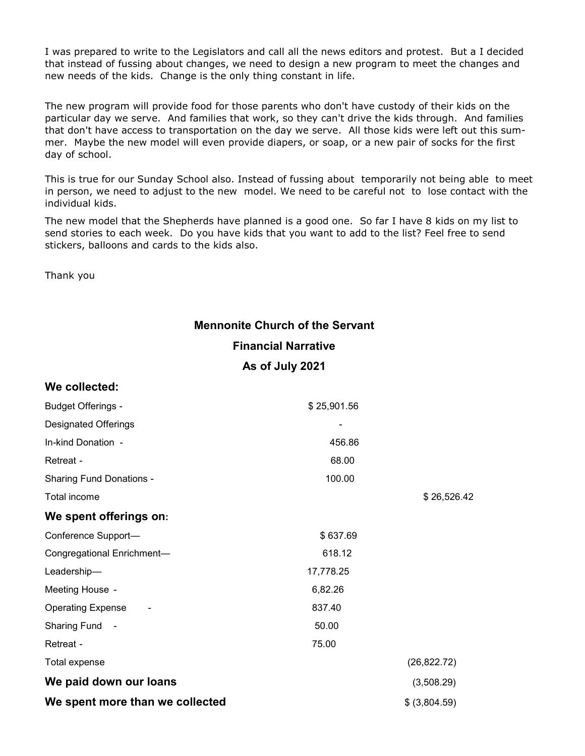I was prepared to write to the Legislators and call all the news editors and protest. But a I decided that instead of fussing about changes, we need to design a new program to meet the changes and new needs of the kids. Change is the only thing constant in life.

The new program will provide food for those parents who don't have custody of their kids on the particular day we serve. And families that work, so they can't drive the kids through. And families that don't have access to transportation on the day we serve. All those kids were left out this summer. Maybe the new model will even provide diapers, or soap, or a new pair of socks for the first day of school.

This is true for our Sunday School also. Instead of fussing about temporarily not being able to meet in person, we need to adjust to the new model. We need to be careful not to lose contact with the individual kids.

The new model that the Shepherds have planned is a good one. So far I have 8 kids on my list to send stories to each week. Do you have kids that you want to add to the list? Feel free to send stickers, balloons and cards to the kids also.

Thank you

# **Mennonite Church of the Servant Financial Narrative As of July 2021**

| We collected:                     |             |               |
|-----------------------------------|-------------|---------------|
| <b>Budget Offerings -</b>         | \$25,901.56 |               |
| <b>Designated Offerings</b>       |             |               |
| In-kind Donation -                | 456.86      |               |
| Retreat -                         | 68.00       |               |
| <b>Sharing Fund Donations -</b>   | 100.00      |               |
| Total income                      |             | \$26,526.42   |
| We spent offerings on:            |             |               |
| Conference Support-               | \$637.69    |               |
| Congregational Enrichment-        | 618.12      |               |
| Leadership-                       | 17,778.25   |               |
| Meeting House -                   | 6,82.26     |               |
| <b>Operating Expense</b>          | 837.40      |               |
| <b>Sharing Fund</b><br>$\sim$ $-$ | 50.00       |               |
| Retreat -                         | 75.00       |               |
| Total expense                     |             | (26, 822.72)  |
| We paid down our loans            |             | (3,508.29)    |
| We spent more than we collected   |             | \$ (3,804.59) |